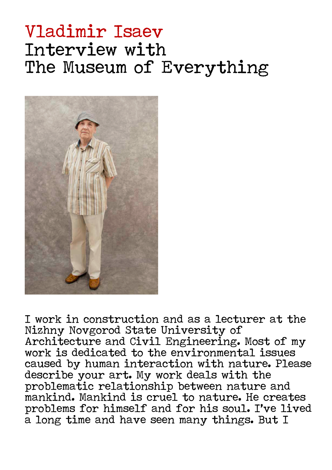# Vladimir Isaev Interview with The Museum of Everything



I work in construction and as a lecturer at the Nizhny Novgorod State University of Architecture and Civil Engineering. Most of my work is dedicated to the environmental issues caused by human interaction with nature. Please describe your art. My work deals with the problematic relationship between nature and mankind. Mankind is cruel to nature. He creates problems for himself and for his soul. I've lived a long time and have seen many things. But I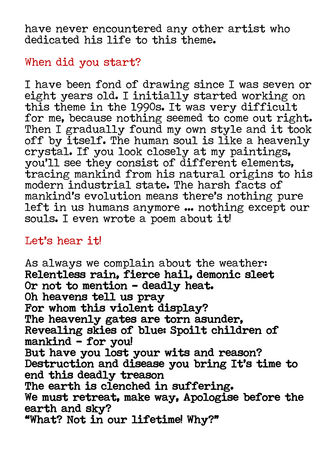have never encountered any other artist who dedicated his life to this theme.

## When did you start?

I have been fond of drawing since I was seven or eight years old. I initially started working on this theme in the 1990s. It was very difficult for me, because nothing seemed to come out right. Then I gradually found my own style and it took off by itself. The human soul is like a heavenly crystal. If you look closely at my paintings, you'll see they consist of different elements, tracing mankind from his natural origins to his modern industrial state. The harsh facts of mankind's evolution means there's nothing pure left in us humans anymore ... nothing except our souls. I even wrote a poem about it!

## Let's hear it!

As always we complain about the weather: Relentless rain, fierce hail, demonic sleet Or not to mention – deadly heat. Oh heavens tell us pray For whom this violent display? The heavenly gates are torn asunder, Revealing skies of blue: Spoilt children of mankind  $-$  for you! But have you lost your wits and reason? Destruction and disease you bring It's time to end this deadly treason The earth is clenched in suffering. We must retreat, make way, Apologise before the earth and sky? "What? Not in our lifetime! Why?"